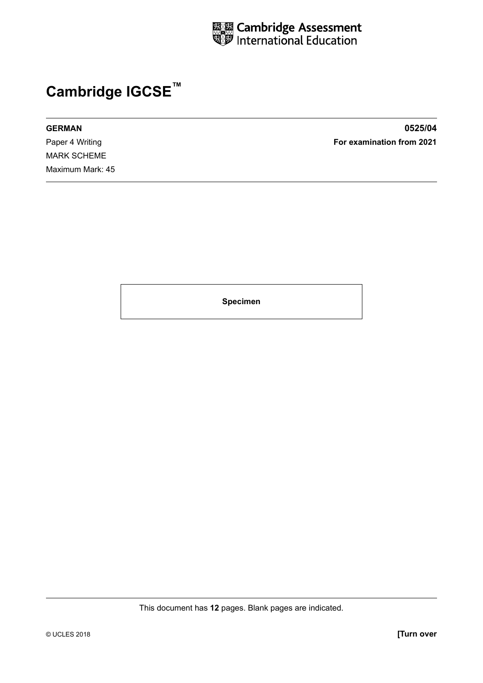

# **Cambridge IGCSE™**

MARK SCHEME Maximum Mark: 45

**GERMAN 0525/04** Paper 4 Writing **For examination from 2021**

**Specimen**

This document has **12** pages. Blank pages are indicated.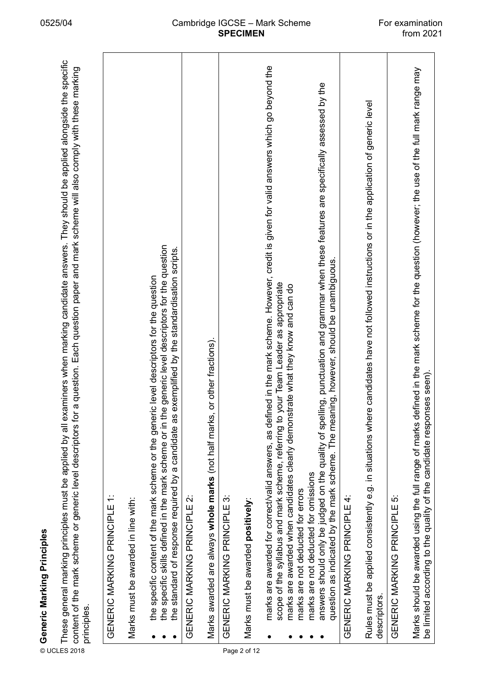| ī<br>۱ |
|--------|
|        |
|        |
|        |
|        |
|        |
|        |
|        |
| J      |
|        |
| ۰      |
|        |
|        |
|        |
|        |
|        |
|        |
| ٠      |
|        |
|        |
|        |
|        |
|        |
| ľ      |
|        |
|        |

| ⊚ Generic Marking Principles<br>E These general marking principl<br>≌ content of the mark scheme or<br>≈ cripcioc<br>principles. | These general marking principles must be applied by all examiners when marking candidate answers. They should be applied alongside the specific<br>a question. Each question paper and mark scheme will also comply with these marking<br>content of the mark scheme or generic level descriptors for                   |  |
|----------------------------------------------------------------------------------------------------------------------------------|-------------------------------------------------------------------------------------------------------------------------------------------------------------------------------------------------------------------------------------------------------------------------------------------------------------------------|--|
|                                                                                                                                  | GENERIC MARKING PRINCIPLE 1:                                                                                                                                                                                                                                                                                            |  |
|                                                                                                                                  | Marks must be awarded in line with:                                                                                                                                                                                                                                                                                     |  |
|                                                                                                                                  | the specific skills defined in the mark scheme or in the generic level descriptors for the question<br>exemplified by the standardisation scripts.<br>the specific content of the mark scheme or the generic level descriptors for the question<br>the standard of response required by a candidate as                  |  |
|                                                                                                                                  | GENERIC MARKING PRINCIPLE 2:                                                                                                                                                                                                                                                                                            |  |
|                                                                                                                                  | or other fractions).<br>Marks awarded are always whole marks (not half marks,                                                                                                                                                                                                                                           |  |
|                                                                                                                                  | GENERIC MARKING PRINCIPLE 3:                                                                                                                                                                                                                                                                                            |  |
| Page 2 of 12                                                                                                                     | Marks must be awarded positively:                                                                                                                                                                                                                                                                                       |  |
|                                                                                                                                  | marks are awarded for correct/valid answers, as defined in the mark scheme. However, credit is given for valid answers which go beyond the<br>scope of the syllabus and mark scheme, referring to your Team Leader as appropriate<br>marks are awarded when candidates clearly demonstrate what they know and can do    |  |
|                                                                                                                                  | ling, punctuation and grammar when these features are specifically assessed by the<br>ning, however, should be unambiguous.<br>answers should only be judged on the quality of spell<br>question as indicated by the mark scheme. The mear<br>marks are not deducted for omissions<br>marks are not deducted for errors |  |
|                                                                                                                                  | GENERIC MARKING PRINCIPLE 4:                                                                                                                                                                                                                                                                                            |  |
| descriptors.                                                                                                                     | Rules must be applied consistently e.g. in situations where candidates have not followed instructions or in the application of generic level                                                                                                                                                                            |  |
|                                                                                                                                  | GENERIC MARKING PRINCIPLE 5:                                                                                                                                                                                                                                                                                            |  |
|                                                                                                                                  | Marks should be awarded using the full range of marks defined in the mark scheme for the question (however, the use of the full mark range may<br>be limited according to the quality of the candidate responses seen).                                                                                                 |  |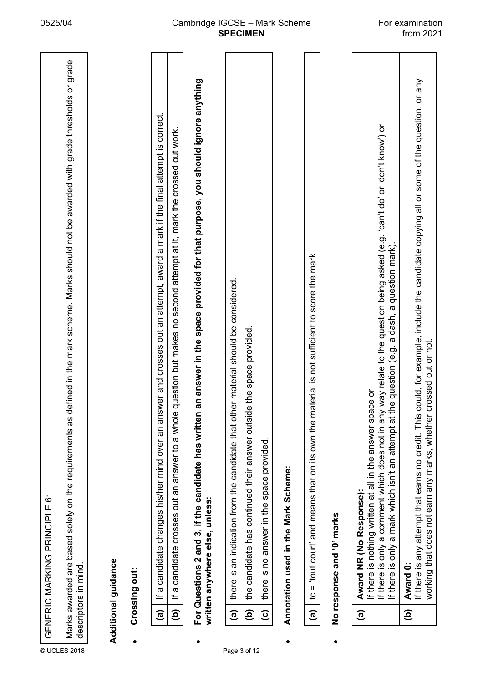|              |                        | $\ddot{\circ}$<br>GENERIC MARKING PRINCIPLE                                                                                                                                                                              |
|--------------|------------------------|--------------------------------------------------------------------------------------------------------------------------------------------------------------------------------------------------------------------------|
| © UCLES 2018 |                        | defined in the mark scheme. Marks should not be awarded with grade thresholds or grade<br>Marks awarded are based solely on the requirements as<br>descriptors in mind.                                                  |
|              |                        | Additional guidance                                                                                                                                                                                                      |
|              |                        | Crossing out:                                                                                                                                                                                                            |
|              | $\widehat{a}$          | If a candidate changes his/her mind over an answer and crosses out an attempt, award a mark if the final attempt is correct.                                                                                             |
|              | ê                      | e question but makes no second attempt at it, mark the crossed out work.<br>candidate crosses out an answer to a whole<br>$\boldsymbol{\varpi}$<br>ᆂ                                                                     |
|              |                        | n an answer in the space provided for that purpose, you should ignore anything<br>For Questions 2 and 3, if the candidate has writter<br>written anywhere else, unless:                                                  |
| Page 3 of 12 | $\widehat{a}$          | there is an indication from the candidate that other material should be considered.                                                                                                                                      |
|              | $\widehat{\mathbf{e}}$ | ide the space provided.<br>the candidate has continued their answer outsi                                                                                                                                                |
|              | $\widehat{\mathbf{c}}$ | there is no answer in the space provided.                                                                                                                                                                                |
|              |                        | Annotation used in the Mark Scheme:                                                                                                                                                                                      |
|              | $\widehat{a}$          | material is not sufficient to score the mark.<br>and means that on its own the<br>tout court'<br>$\mathsf{II}$<br>ءِ                                                                                                     |
|              |                        | No response and '0' marks                                                                                                                                                                                                |
|              | $\widehat{a}$          | If there is only a comment which does not in any way relate to the question being asked (e.g. 'can't do' or 'don't know') or<br>If there is nothing written at all in the answer space or<br>Award NR (No Response):     |
|              |                        | the question (e.g. a dash, a question mark).<br>a mark which isn't an attempt at<br>If there is only                                                                                                                     |
|              | $\widehat{e}$          | If there is any attempt that earns no credit. This could, for example, include the candidate copying all or some of the question, or any<br>working that does not earn any marks, whether crossed out or not<br>Award 0: |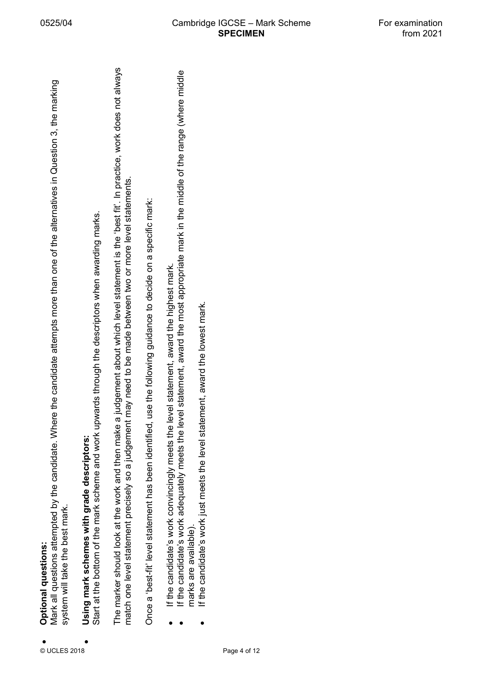6. et Mondial dialempted by the candidate. Where the candidate attempts more than one of the alternatives in Question 3, the marking<br>as system will take the best mark.<br>The marker should look at the work and then make a ju

- 
- 
-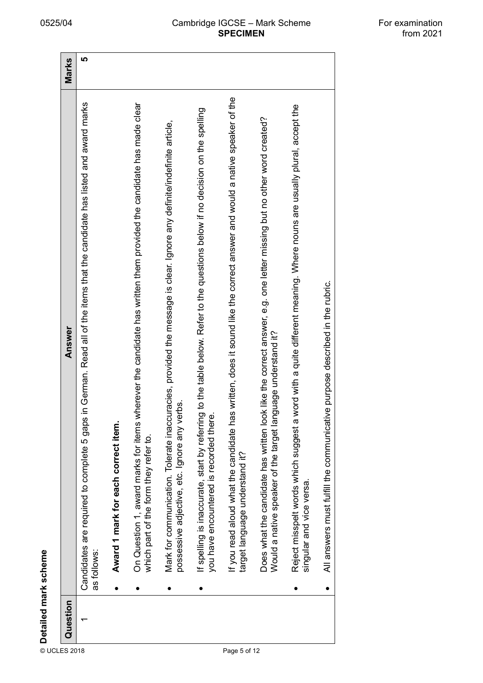| If you read aloud what the candidate has written, does it sound like the correct answer and would a native speaker of the<br>in German. Read all of the items that the candidate has listed and award marks<br>On Question 1, award marks for items wherever the candidate has written them provided the candidate has made clear<br>word with a quite different meaning. Where nouns are usually plural, accept the<br>If spelling is inaccurate, start by referring to the table below. Refer to the questions below if no decision on the spelling<br>Does what the candidate has written look like the correct answer, e.g. one letter missing but no other word created?<br>Mark for communication. Tolerate inaccuracies, provided the message is clear. Ignore any definite/indefinite article,<br>All answers must fulfill the communicative purpose described in the rubric.<br>Answer<br>guage understand it?<br>possessive adjective, etc. Ignore any verbs.<br>you have encountered is recorded there<br>Would a native speaker of the target lan<br>Candidates are required to complete 5 gaps<br>Reject misspelt words which suggest a<br>Award 1 mark for each correct item.<br>which part of the form they refer to.<br>target language understand it?<br>singular and vice versa.<br>as follows:<br>$\bullet$<br>Question |
|--------------------------------------------------------------------------------------------------------------------------------------------------------------------------------------------------------------------------------------------------------------------------------------------------------------------------------------------------------------------------------------------------------------------------------------------------------------------------------------------------------------------------------------------------------------------------------------------------------------------------------------------------------------------------------------------------------------------------------------------------------------------------------------------------------------------------------------------------------------------------------------------------------------------------------------------------------------------------------------------------------------------------------------------------------------------------------------------------------------------------------------------------------------------------------------------------------------------------------------------------------------------------------------------------------------------------------------------|
|                                                                                                                                                                                                                                                                                                                                                                                                                                                                                                                                                                                                                                                                                                                                                                                                                                                                                                                                                                                                                                                                                                                                                                                                                                                                                                                                            |
|                                                                                                                                                                                                                                                                                                                                                                                                                                                                                                                                                                                                                                                                                                                                                                                                                                                                                                                                                                                                                                                                                                                                                                                                                                                                                                                                            |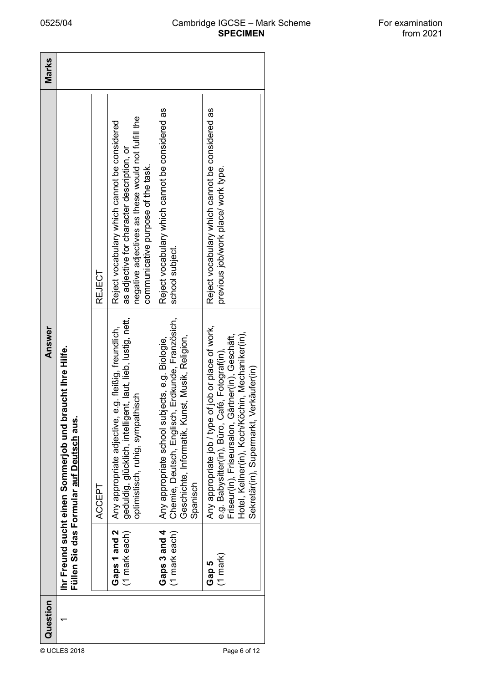### 0525/04 Cambridge IGCSE – Mark Scheme **SPECIMEN**

| For examination |  |
|-----------------|--|
| from 2021       |  |

| Answer<br>braucht Ihre Hilfe.<br>Füllen Sie das Formular auf Deutsch aus<br>Ihr Freund sucht einen Sommerjob und | REJECT | negative adjectives as these would not fulfill the<br>Reject vocabulary which cannot be considered<br>as adjective for character description, or<br>communicative purpose of the task. | Reject vocabulary which cannot be considered as<br>school subject.                                                                                                 | Reject vocabulary which cannot be considered as<br>previous job/work place/ work type.                                                                                                                                                                          |
|------------------------------------------------------------------------------------------------------------------|--------|----------------------------------------------------------------------------------------------------------------------------------------------------------------------------------------|--------------------------------------------------------------------------------------------------------------------------------------------------------------------|-----------------------------------------------------------------------------------------------------------------------------------------------------------------------------------------------------------------------------------------------------------------|
|                                                                                                                  |        |                                                                                                                                                                                        |                                                                                                                                                                    |                                                                                                                                                                                                                                                                 |
|                                                                                                                  | ACCEPT | geduldig, glücklich, intelligent, laut, lieb, lustig, nett,<br>Any appropriate adjective, e.g. fleißig, freundlich,<br>optimistisch, ruhig, sympathisch                                | Chemie, Deutsch, Englisch, Erdkunde, Französich,<br>Geschichte, Informatik, Kunst, Musik, Religion,<br>Any appropriate school subjects, e.g. Biologie,<br>Spanisch | Any appropriate job / type of job or place of work,<br>Hotel, Kellner(in), Koch/Köchin, Mechaniker(in),<br>Gärtner(in), Geschäft,<br>Café, Fotograf(in),<br>Sekretär(in), Supermarkt, Verkäufer(in)<br>e.g. Babysitter(in), Büro,<br>Friseur(in), Friseursalon, |
|                                                                                                                  |        | Gaps 1 and 2<br>(1 mark each)                                                                                                                                                          | Gaps 3 and 4<br>(1 mark each)                                                                                                                                      | $(1 \text{ mark})$<br>Gap 5                                                                                                                                                                                                                                     |
| Question                                                                                                         |        |                                                                                                                                                                                        |                                                                                                                                                                    |                                                                                                                                                                                                                                                                 |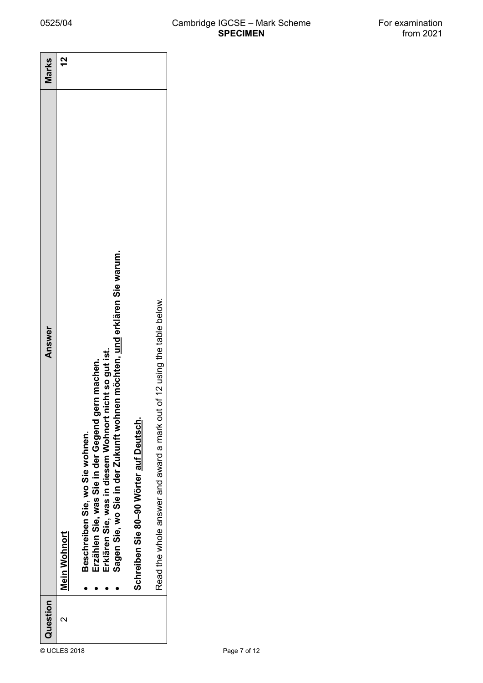| Question          | Answer                                                                                                                                                                                                                                | Marks |
|-------------------|---------------------------------------------------------------------------------------------------------------------------------------------------------------------------------------------------------------------------------------|-------|
| $\mathbf{\Omega}$ | Mein Wohnort                                                                                                                                                                                                                          | 27    |
|                   | hnen möchten, und erklären Sie warum.<br>t nicht so gut ist.<br>gern machen.<br>Erklären Sie, was in diesem Wohnort<br>Erzählen Sie, was Sie in der Gegend<br>Sagen Sie, wo Sie in der Zukunft wol<br>Beschreiben Sie, wo Sie wohnen. |       |
|                   | Schreiben Sie 80-90 Wörter auf Deutsch.                                                                                                                                                                                               |       |
|                   | Read the whole answer and award a mark out of 12 using the table below.                                                                                                                                                               |       |
|                   |                                                                                                                                                                                                                                       |       |
|                   |                                                                                                                                                                                                                                       |       |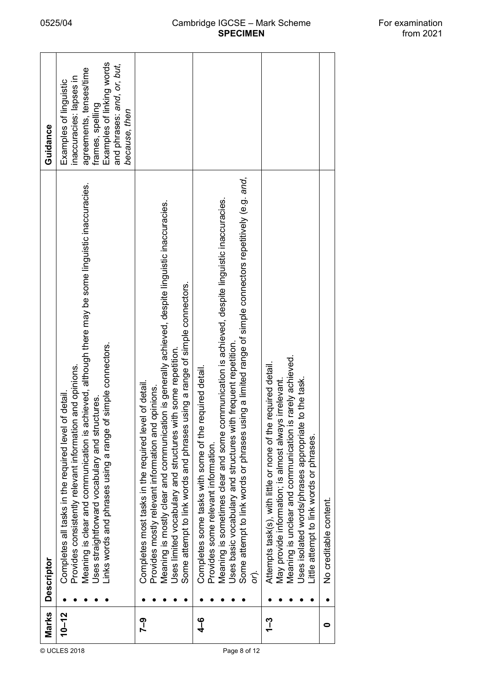|              | Marks         | <b>Descriptor</b>                                                                                                                                                                                                                                                                                                                                                                        | Guidance                                                                                                                                                                     |
|--------------|---------------|------------------------------------------------------------------------------------------------------------------------------------------------------------------------------------------------------------------------------------------------------------------------------------------------------------------------------------------------------------------------------------------|------------------------------------------------------------------------------------------------------------------------------------------------------------------------------|
| © UCLES 2018 | $10 - 12$     | Meaning is clear and communication is achieved, although there may be some linguistic inaccuracies.<br>simple connectors.<br>and opinions.<br>Completes all tasks in the required level of detail.<br>Jses straightforward vocabulary and structures.<br>links words and phrases using a range of<br>Provides consistently relevant information                                          | Examples of linking words<br>and phrases: and, or, but,<br>agreements, tenses/time<br>inaccuracies: lapses in<br>Examples of linguistic<br>frames, spelling<br>because, then |
|              | ၇၂            | Meaning is mostly clear and communication is generally achieved, despite linguistic inaccuracies.<br>Some attempt to link words and phrases using a range of simple connectors.<br>Jses limited vocabulary and structures with some repetition.<br>of detail.<br>Provides mostly relevant information and opinions.<br>Completes most tasks in the required level                        |                                                                                                                                                                              |
| Page 8 of 12 | $\frac{6}{4}$ | ng a limited range of simple connectors repetitively (e.g. and,<br>Meaning is sometimes clear and some communication is achieved, despite linguistic inaccuracies.<br>Uses basic vocabulary and structures with frequent repetition.<br>Completes some tasks with some of the required detail.<br>Some attempt to link words or phrases usi<br>Provides some relevant information.<br>ζ. |                                                                                                                                                                              |
|              | <u> 1</u>     | rarely achieved.<br>Attempts task(s), with little or none of the required detail.<br>Jses isolated words/phrases appropriate to the task.<br>irrelevant.<br>May provide information; is almost always<br>Meaning is unclear and communication is<br>Little attempt to link words or phrases.                                                                                             |                                                                                                                                                                              |
|              | 0             | No creditable content.                                                                                                                                                                                                                                                                                                                                                                   |                                                                                                                                                                              |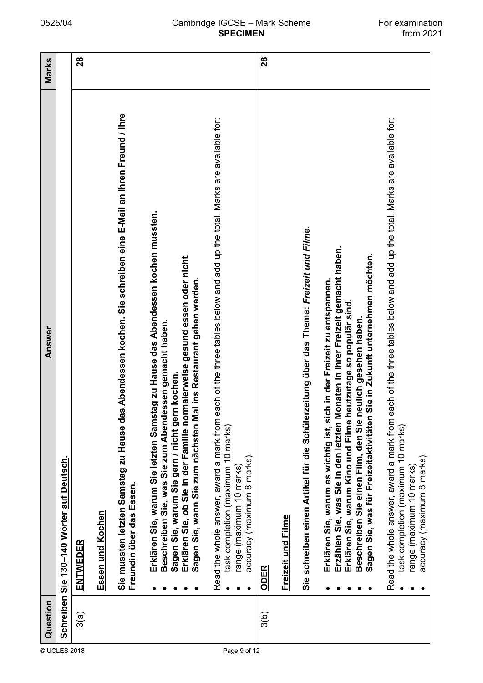#### 0525/04 Cambridge IGCSE – Mark Scheme For examination<br>from 2021 **SPECIMEN**

|              | Question | Answer                                                                                                                                                                                                                                                                                                                                                                       | Marks |
|--------------|----------|------------------------------------------------------------------------------------------------------------------------------------------------------------------------------------------------------------------------------------------------------------------------------------------------------------------------------------------------------------------------------|-------|
| © UCLES 2018 |          | Schreiben Sie 130-140 Wörter auf Deutsch.                                                                                                                                                                                                                                                                                                                                    |       |
|              | 3(a)     | <u>ENTWEDER</u>                                                                                                                                                                                                                                                                                                                                                              | 28    |
|              |          | Essen und Kochen                                                                                                                                                                                                                                                                                                                                                             |       |
|              |          | Is Abendessen kochen. Sie schreiben eine E-Mail an Ihren Freund / Ihre<br>Sie mussten letzten Samstag zu Hause da<br>Freundin über das Essen.                                                                                                                                                                                                                                |       |
|              |          | Erklären Sie, warum Sie letzten Samstag zu Hause das Abendessen kochen mussten.<br>Erklären Sie, ob Sie in der Familie normalerweise gesund essen oder nicht.<br>al ins Restaurant gehen werden.<br>Beschreiben Sie, was Sie zum Abendessen gemacht haben.<br>Sagen Sie, warum Sie gern / nicht gern kochen.<br>Sagen Sie, wann Sie zum nächsten M                           |       |
| Page 9 of 12 |          | each of the three tables below and add up the total. Marks are available for:<br>Read the whole answer, award a mark from<br>task completion (maximum 10 marks)<br>accuracy (maximum 8 marks).<br>range (maximum 10 marks)                                                                                                                                                   |       |
|              | 3(b)     | <u>ODER</u>                                                                                                                                                                                                                                                                                                                                                                  | 28    |
|              |          | Freizeit und Filme                                                                                                                                                                                                                                                                                                                                                           |       |
|              |          | rzeitung über das Thema: Freizeit und Filme.<br>Sie schreiben einen Artikel für die Schüler                                                                                                                                                                                                                                                                                  |       |
|              |          | Erzählen Sie, was Sie in den letzten Monaten in Ihrer Freizeit gemacht haben.<br>Sie in Zukunft unternehmen möchten.<br>Erklären Sie, warum es wichtig ist, sich in der Freizeit zu entspannen.<br>Erklären Sie, warum Kino und Filme heutzutage so populär sind.<br>neulich gesehen haben.<br>Sagen Sie, was für Freizeitaktivitäten<br>Beschreiben Sie einen Film, den Sie |       |
|              |          | each of the three tables below and add up the total. Marks are available for:<br>Read the whole answer, award a mark from<br>task completion (maximum 10 marks)<br>accuracy (maximum 8 marks).<br>range (maximum 10 marks)                                                                                                                                                   |       |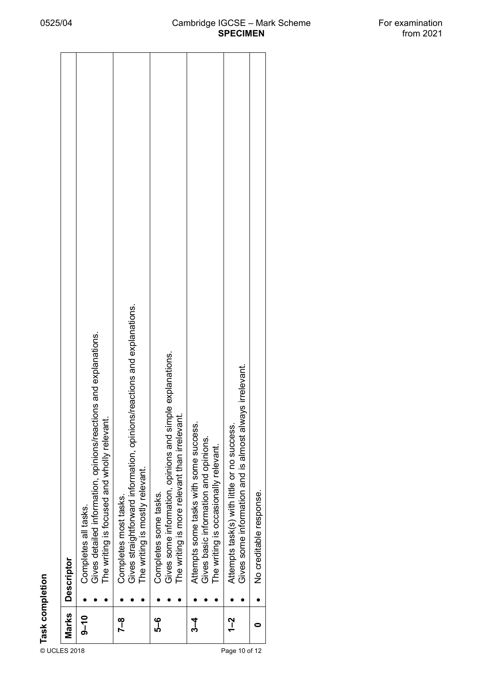## 0525/04 Cambridge IGCSE – Mark Scheme For examination<br>from 2021 **SPECIMEN**

|               | © Task completion<br>∪CLES 2018<br>© Q_10<br>© C.Com | <b>Descriptor</b>                                                                                                                       |
|---------------|------------------------------------------------------|-----------------------------------------------------------------------------------------------------------------------------------------|
|               | $0-10$                                               | Gives detailed information, opinions/reactions and explanations.<br>The writing is focused and wholly relevant.<br>Completes all tasks. |
|               | 7–8                                                  | Gives straightforward information, opinions/reactions and explanations.<br>The writing is mostly relevant.<br>Completes most tasks.     |
|               | မှု<br>ပု                                            | Gives some information, opinions and simple explanations.<br>The writing is more relevant than irrelevant<br>Completes some tasks.      |
|               | ა<br>4                                               | Attempts some tasks with some success.<br>Gives basic information and opinions.<br>The writing is occasionally relevant.                |
| Page 10 of 12 | 1–2                                                  | Gives some information and is almost always irrelevant.<br>Attempts task(s) with little or no success.                                  |
|               | c                                                    | No creditable response.                                                                                                                 |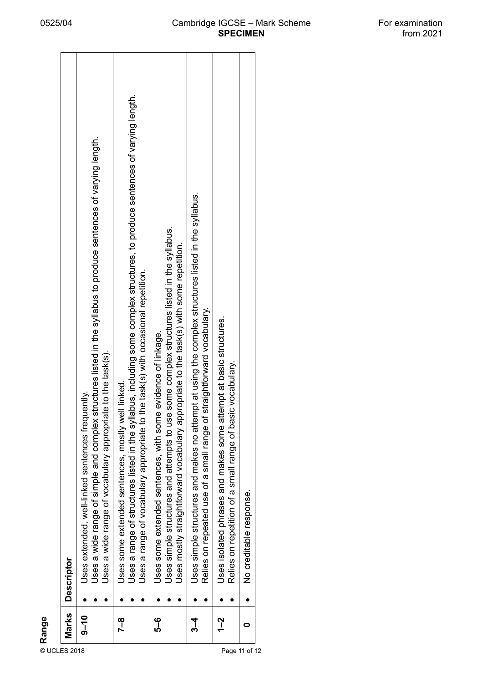|               | Marks<br>$9 - 10$<br>$\begin{array}{c c}\n\mathbf{g} & \mathbf{g} \\ \hline\n\mathbf{g} & \mathbf{g} \\ \hline\n\mathbf{g} & \mathbf{g} \\ \hline\n\mathbf{g} & \mathbf{g} \\ \hline\n\mathbf{g} & \mathbf{g} \\ \hline\n\mathbf{g} & \mathbf{g} \\ \hline\n\mathbf{g} & \mathbf{g} \\ \hline\n\mathbf{g} & \mathbf{g} \\ \hline\n\mathbf{g} & \mathbf{g} \\ \hline\n\mathbf{g} & \mathbf{g} \\ \hline\n\mathbf{g} & \mathbf{g} \\ \hline\n\mathbf{g} & \mathbf{g$ | Uses extended, well-linked sentences frequently.<br><b>Descriptor</b>                                                                                                                                                                                                   |
|---------------|--------------------------------------------------------------------------------------------------------------------------------------------------------------------------------------------------------------------------------------------------------------------------------------------------------------------------------------------------------------------------------------------------------------------------------------------------------------------|-------------------------------------------------------------------------------------------------------------------------------------------------------------------------------------------------------------------------------------------------------------------------|
|               |                                                                                                                                                                                                                                                                                                                                                                                                                                                                    | Uses a wide range of simple and complex structures listed in the syllabus to produce sentences of varying length.<br>Uses a wide range of vocabulary appropriate to the task(s).                                                                                        |
|               | 7–8                                                                                                                                                                                                                                                                                                                                                                                                                                                                | Uses a range of structures listed in the syllabus, including some complex structures, to produce sentences of varying length.<br>Uses a range of vocabulary appropriate to the task(s) with occasional repetition.<br>Uses some extended sentences, mostly well linked. |
|               | မှ<br>၁<br>မ                                                                                                                                                                                                                                                                                                                                                                                                                                                       | Uses simple structures and attempts to use some complex structures listed in the syllabus.<br>Uses mostly straightforward vocabulary appropriate to the task(s) with some repetition.<br>Uses some extended sentences, with some evidence of linkage.                   |
|               | ა<br>4                                                                                                                                                                                                                                                                                                                                                                                                                                                             | Uses simple structures and makes no attempt at using the complex structures listed in the syllabus.<br>Relies on repeated use of a small range of straightforward vocabulary.                                                                                           |
| Page 11 of 12 | 1–2                                                                                                                                                                                                                                                                                                                                                                                                                                                                | Uses isolated phrases and makes some attempt at basic structures.<br>Relies on repetition of a small range of basic vocabulary.                                                                                                                                         |
|               |                                                                                                                                                                                                                                                                                                                                                                                                                                                                    | No creditable response.                                                                                                                                                                                                                                                 |